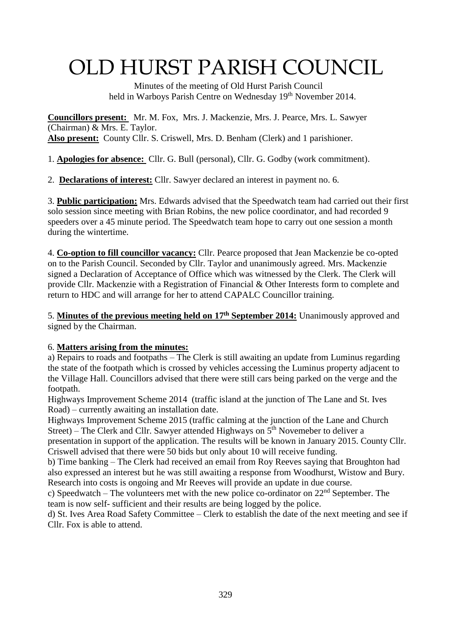# OLD HURST PARISH COUNCIL

 Minutes of the meeting of Old Hurst Parish Council held in Warboys Parish Centre on Wednesday 19<sup>th</sup> November 2014.

**Councillors present:** Mr. M. Fox, Mrs. J. Mackenzie, Mrs. J. Pearce, Mrs. L. Sawyer (Chairman) & Mrs. E. Taylor. **Also present:** County Cllr. S. Criswell, Mrs. D. Benham (Clerk) and 1 parishioner.

1. **Apologies for absence:** Cllr. G. Bull (personal), Cllr. G. Godby (work commitment).

2. **Declarations of interest:** Cllr. Sawyer declared an interest in payment no. 6.

3. **Public participation:** Mrs. Edwards advised that the Speedwatch team had carried out their first solo session since meeting with Brian Robins, the new police coordinator, and had recorded 9 speeders over a 45 minute period. The Speedwatch team hope to carry out one session a month during the wintertime.

4. **Co-option to fill councillor vacancy:** Cllr. Pearce proposed that Jean Mackenzie be co-opted on to the Parish Council. Seconded by Cllr. Taylor and unanimously agreed. Mrs. Mackenzie signed a Declaration of Acceptance of Office which was witnessed by the Clerk. The Clerk will provide Cllr. Mackenzie with a Registration of Financial & Other Interests form to complete and return to HDC and will arrange for her to attend CAPALC Councillor training.

5. **Minutes of the previous meeting held on 17th September 2014:** Unanimously approved and signed by the Chairman.

# 6. **Matters arising from the minutes:**

a) Repairs to roads and footpaths – The Clerk is still awaiting an update from Luminus regarding the state of the footpath which is crossed by vehicles accessing the Luminus property adjacent to the Village Hall. Councillors advised that there were still cars being parked on the verge and the footpath.

Highways Improvement Scheme 2014 (traffic island at the junction of The Lane and St. Ives Road) – currently awaiting an installation date.

Highways Improvement Scheme 2015 (traffic calming at the junction of the Lane and Church Street) – The Clerk and Cllr. Sawyer attended Highways on  $5<sup>th</sup>$  Novemeber to deliver a presentation in support of the application. The results will be known in January 2015. County Cllr. Criswell advised that there were 50 bids but only about 10 will receive funding.

b) Time banking – The Clerk had received an email from Roy Reeves saying that Broughton had also expressed an interest but he was still awaiting a response from Woodhurst, Wistow and Bury. Research into costs is ongoing and Mr Reeves will provide an update in due course.

c) Speedwatch – The volunteers met with the new police co-ordinator on  $22<sup>nd</sup>$  September. The team is now self- sufficient and their results are being logged by the police.

d) St. Ives Area Road Safety Committee – Clerk to establish the date of the next meeting and see if Cllr. Fox is able to attend.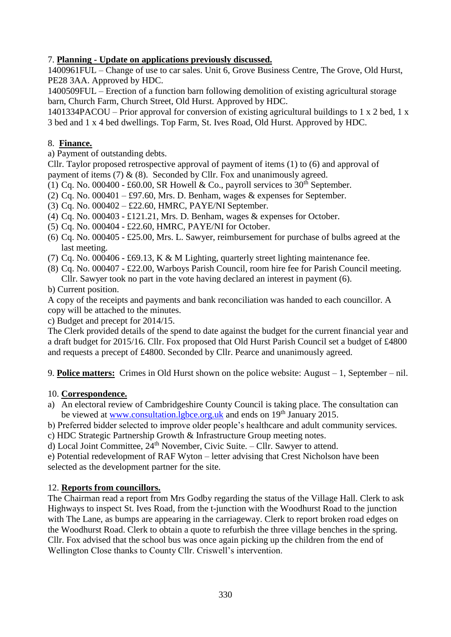### 7. **Planning - Update on applications previously discussed.**

1400961FUL – Change of use to car sales. Unit 6, Grove Business Centre, The Grove, Old Hurst, PE28 3AA. Approved by HDC.

1400509FUL – Erection of a function barn following demolition of existing agricultural storage barn, Church Farm, Church Street, Old Hurst. Approved by HDC.

1401334PACOU – Prior approval for conversion of existing agricultural buildings to 1 x 2 bed, 1 x 3 bed and 1 x 4 bed dwellings. Top Farm, St. Ives Road, Old Hurst. Approved by HDC.

### 8. **Finance.**

a) Payment of outstanding debts.

Cllr. Taylor proposed retrospective approval of payment of items (1) to (6) and approval of payment of items  $(7) & (8)$ . Seconded by Cllr. Fox and unanimously agreed.

- (1) Cq. No. 000400 £60.00, SR Howell & Co., payroll services to  $30<sup>th</sup>$  September.
- (2) Cq. No.  $000401 \text{\textsterling}97.60$ , Mrs. D. Benham, wages & expenses for September.
- (3) Cq. No. 000402 £22.60, HMRC, PAYE/NI September.
- (4) Cq. No. 000403 £121.21, Mrs. D. Benham, wages & expenses for October.
- (5) Cq. No. 000404 £22.60, HMRC, PAYE/NI for October.
- (6) Cq. No. 000405 £25.00, Mrs. L. Sawyer, reimbursement for purchase of bulbs agreed at the last meeting.
- (7) Cq. No. 000406 £69.13, K & M Lighting, quarterly street lighting maintenance fee.
- (8) Cq. No. 000407 £22.00, Warboys Parish Council, room hire fee for Parish Council meeting. Cllr. Sawyer took no part in the vote having declared an interest in payment (6).
- b) Current position.

A copy of the receipts and payments and bank reconciliation was handed to each councillor. A copy will be attached to the minutes.

c) Budget and precept for 2014/15.

The Clerk provided details of the spend to date against the budget for the current financial year and a draft budget for 2015/16. Cllr. Fox proposed that Old Hurst Parish Council set a budget of £4800 and requests a precept of £4800. Seconded by Cllr. Pearce and unanimously agreed.

9. **Police matters:** Crimes in Old Hurst shown on the police website: August – 1, September – nil.

#### 10. **Correspondence.**

- a) An electoral review of Cambridgeshire County Council is taking place. The consultation can be viewed at [www.consultation.lgbce.org.uk](http://www.consultation.lgbce.org.uk/) and ends on 19<sup>th</sup> January 2015.
- b) Preferred bidder selected to improve older people's healthcare and adult community services.
- c) HDC Strategic Partnership Growth & Infrastructure Group meeting notes.
- d) Local Joint Committee, 24th November, Civic Suite. Cllr. Sawyer to attend.

e) Potential redevelopment of RAF Wyton – letter advising that Crest Nicholson have been selected as the development partner for the site.

# 12. **Reports from councillors.**

The Chairman read a report from Mrs Godby regarding the status of the Village Hall. Clerk to ask Highways to inspect St. Ives Road, from the t-junction with the Woodhurst Road to the junction with The Lane, as bumps are appearing in the carriageway. Clerk to report broken road edges on the Woodhurst Road. Clerk to obtain a quote to refurbish the three village benches in the spring. Cllr. Fox advised that the school bus was once again picking up the children from the end of Wellington Close thanks to County Cllr. Criswell's intervention.